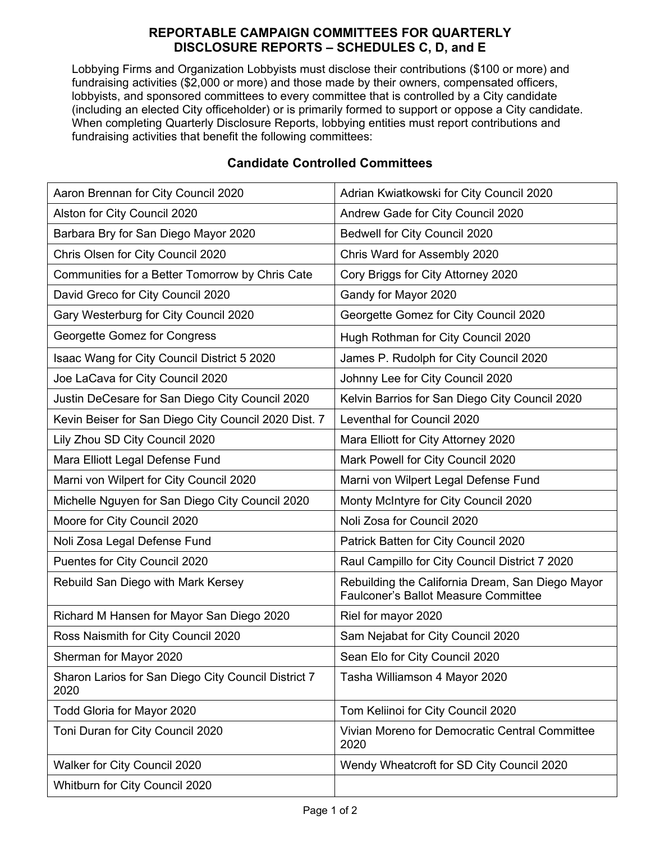## **REPORTABLE CAMPAIGN COMMITTEES FOR QUARTERLY DISCLOSURE REPORTS – SCHEDULES C, D, and E**

Lobbying Firms and Organization Lobbyists must disclose their contributions (\$100 or more) and fundraising activities (\$2,000 or more) and those made by their owners, compensated officers, lobbyists, and sponsored committees to every committee that is controlled by a City candidate (including an elected City officeholder) or is primarily formed to support or oppose a City candidate. When completing Quarterly Disclosure Reports, lobbying entities must report contributions and fundraising activities that benefit the following committees:

| Aaron Brennan for City Council 2020                         | Adrian Kwiatkowski for City Council 2020                                                        |
|-------------------------------------------------------------|-------------------------------------------------------------------------------------------------|
| Alston for City Council 2020                                | Andrew Gade for City Council 2020                                                               |
| Barbara Bry for San Diego Mayor 2020                        | Bedwell for City Council 2020                                                                   |
| Chris Olsen for City Council 2020                           | Chris Ward for Assembly 2020                                                                    |
| Communities for a Better Tomorrow by Chris Cate             | Cory Briggs for City Attorney 2020                                                              |
| David Greco for City Council 2020                           | Gandy for Mayor 2020                                                                            |
| Gary Westerburg for City Council 2020                       | Georgette Gomez for City Council 2020                                                           |
| Georgette Gomez for Congress                                | Hugh Rothman for City Council 2020                                                              |
| Isaac Wang for City Council District 5 2020                 | James P. Rudolph for City Council 2020                                                          |
| Joe LaCava for City Council 2020                            | Johnny Lee for City Council 2020                                                                |
| Justin DeCesare for San Diego City Council 2020             | Kelvin Barrios for San Diego City Council 2020                                                  |
| Kevin Beiser for San Diego City Council 2020 Dist. 7        | Leventhal for Council 2020                                                                      |
| Lily Zhou SD City Council 2020                              | Mara Elliott for City Attorney 2020                                                             |
| Mara Elliott Legal Defense Fund                             | Mark Powell for City Council 2020                                                               |
| Marni von Wilpert for City Council 2020                     | Marni von Wilpert Legal Defense Fund                                                            |
| Michelle Nguyen for San Diego City Council 2020             | Monty McIntyre for City Council 2020                                                            |
| Moore for City Council 2020                                 | Noli Zosa for Council 2020                                                                      |
| Noli Zosa Legal Defense Fund                                | Patrick Batten for City Council 2020                                                            |
| Puentes for City Council 2020                               | Raul Campillo for City Council District 7 2020                                                  |
| Rebuild San Diego with Mark Kersey                          | Rebuilding the California Dream, San Diego Mayor<br><b>Faulconer's Ballot Measure Committee</b> |
| Richard M Hansen for Mayor San Diego 2020                   | Riel for mayor 2020                                                                             |
| Ross Naismith for City Council 2020                         | Sam Nejabat for City Council 2020                                                               |
| Sherman for Mayor 2020                                      | Sean Elo for City Council 2020                                                                  |
| Sharon Larios for San Diego City Council District 7<br>2020 | Tasha Williamson 4 Mayor 2020                                                                   |
| Todd Gloria for Mayor 2020                                  | Tom Keliinoi for City Council 2020                                                              |
| Toni Duran for City Council 2020                            | Vivian Moreno for Democratic Central Committee<br>2020                                          |
| Walker for City Council 2020                                | Wendy Wheatcroft for SD City Council 2020                                                       |
| Whitburn for City Council 2020                              |                                                                                                 |

## **Candidate Controlled Committees**